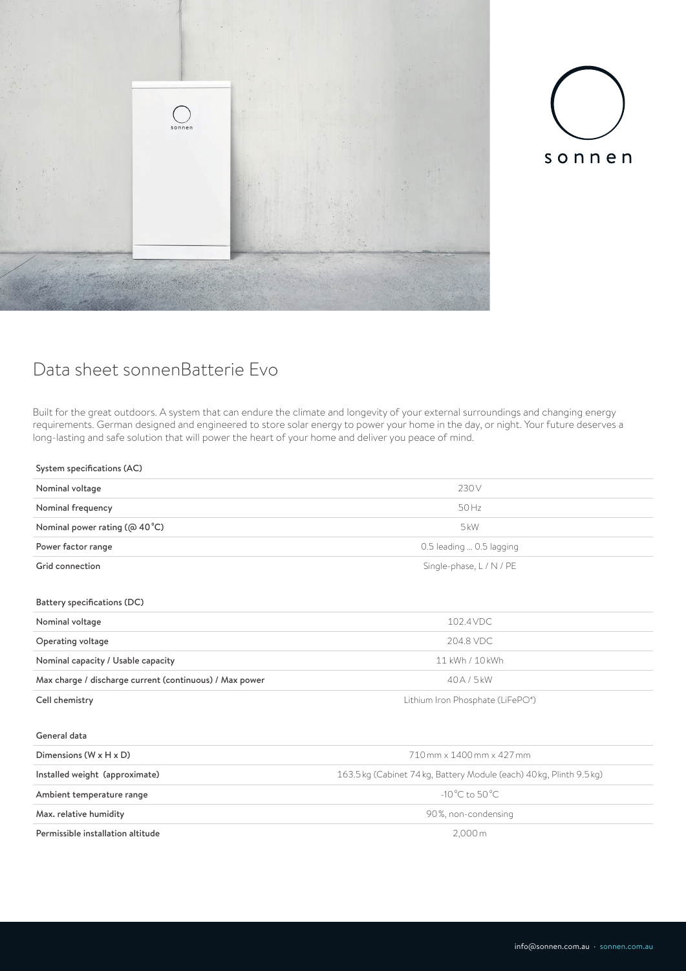



## Data sheet sonnenBatterie Evo

Built for the great outdoors. A system that can endure the climate and longevity of your external surroundings and changing energy requirements. German designed and engineered to store solar energy to power your home in the day, or night. Your future deserves a long-lasting and safe solution that will power the heart of your home and deliver you peace of mind.

## System specifications (AC)

| Nominal voltage                                         | 230V                                                                 |
|---------------------------------------------------------|----------------------------------------------------------------------|
| Nominal frequency                                       | $50$ Hz                                                              |
| Nominal power rating ( $@$ 40 $°C$ )                    | 5kW                                                                  |
| Power factor range                                      | 0.5 leading  0.5 lagging                                             |
| Grid connection                                         | Single-phase, L / N / PE                                             |
| Battery specifications (DC)                             |                                                                      |
| Nominal voltage                                         | 102.4 VDC                                                            |
| Operating voltage                                       | 204.8 VDC                                                            |
| Nominal capacity / Usable capacity                      | 11 kWh / 10 kWh                                                      |
| Max charge / discharge current (continuous) / Max power | 40A/5kW                                                              |
| Cell chemistry                                          | Lithium Iron Phosphate (LiFePO <sup>4</sup> )                        |
| General data                                            |                                                                      |
| Dimensions $(W \times H \times D)$                      | 710 mm x 1400 mm x 427 mm                                            |
| Installed weight (approximate)                          | 163.5 kg (Cabinet 74 kg, Battery Module (each) 40 kg, Plinth 9.5 kg) |
| Ambient temperature range                               | $-10\,^{\circ}$ C to 50 $^{\circ}$ C                                 |
| Max. relative humidity                                  | 90%, non-condensing                                                  |
| Permissible installation altitude                       | 2,000m                                                               |